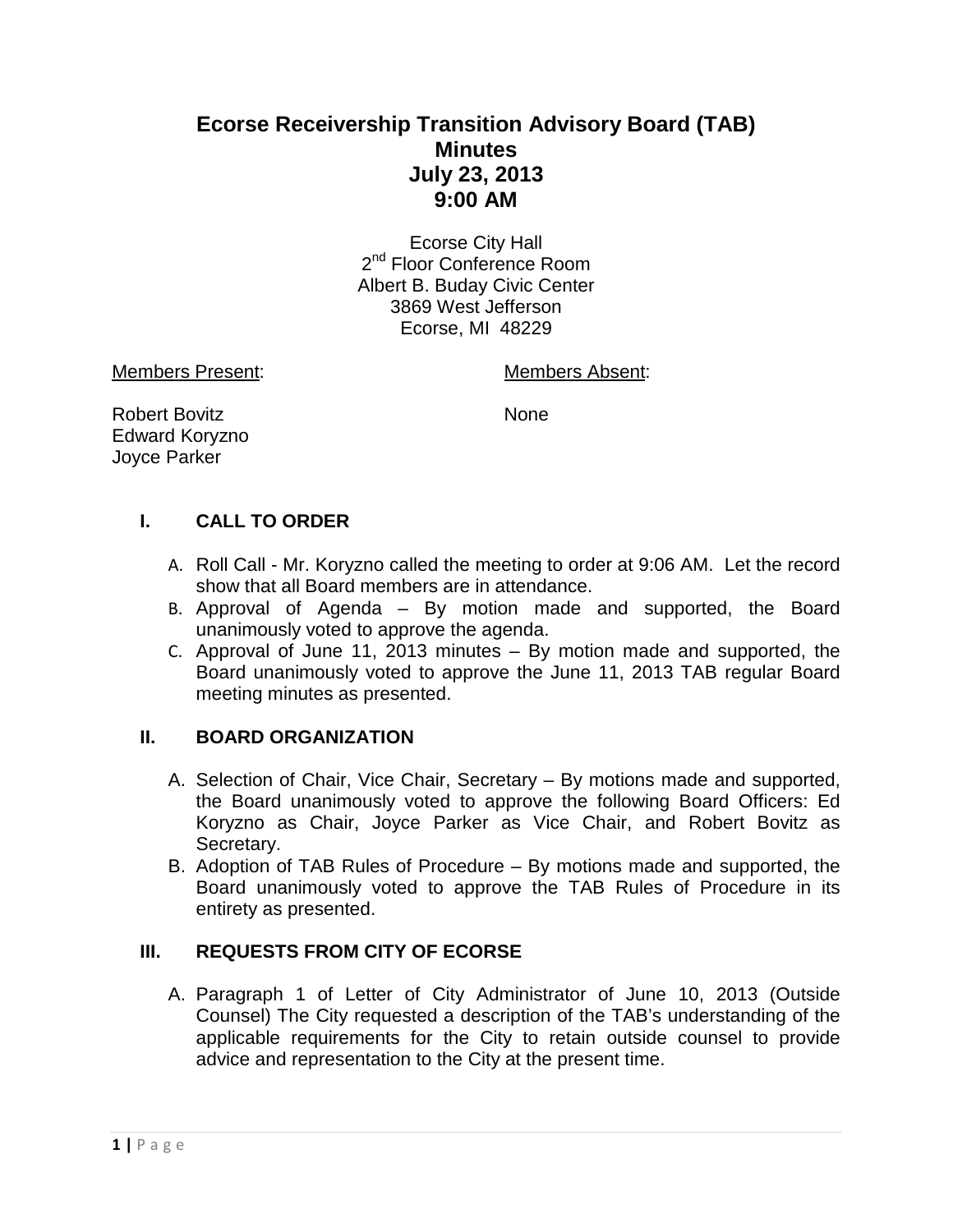# **Ecorse Receivership Transition Advisory Board (TAB) Minutes July 23, 2013 9:00 AM**

Ecorse City Hall 2<sup>nd</sup> Floor Conference Room Albert B. Buday Civic Center 3869 West Jefferson Ecorse, MI 48229

Members Present: Members Absent:

Robert Bovitz None Edward Koryzno Joyce Parker

## **I. CALL TO ORDER**

- A. Roll Call Mr. Koryzno called the meeting to order at 9:06 AM. Let the record show that all Board members are in attendance.
- B. Approval of Agenda By motion made and supported, the Board unanimously voted to approve the agenda.
- C. Approval of June 11, 2013 minutes By motion made and supported, the Board unanimously voted to approve the June 11, 2013 TAB regular Board meeting minutes as presented.

## **II. BOARD ORGANIZATION**

- A. Selection of Chair, Vice Chair, Secretary By motions made and supported, the Board unanimously voted to approve the following Board Officers: Ed Koryzno as Chair, Joyce Parker as Vice Chair, and Robert Bovitz as Secretary.
- B. Adoption of TAB Rules of Procedure By motions made and supported, the Board unanimously voted to approve the TAB Rules of Procedure in its entirety as presented.

## **III. REQUESTS FROM CITY OF ECORSE**

A. Paragraph 1 of Letter of City Administrator of June 10, 2013 (Outside Counsel) The City requested a description of the TAB's understanding of the applicable requirements for the City to retain outside counsel to provide advice and representation to the City at the present time.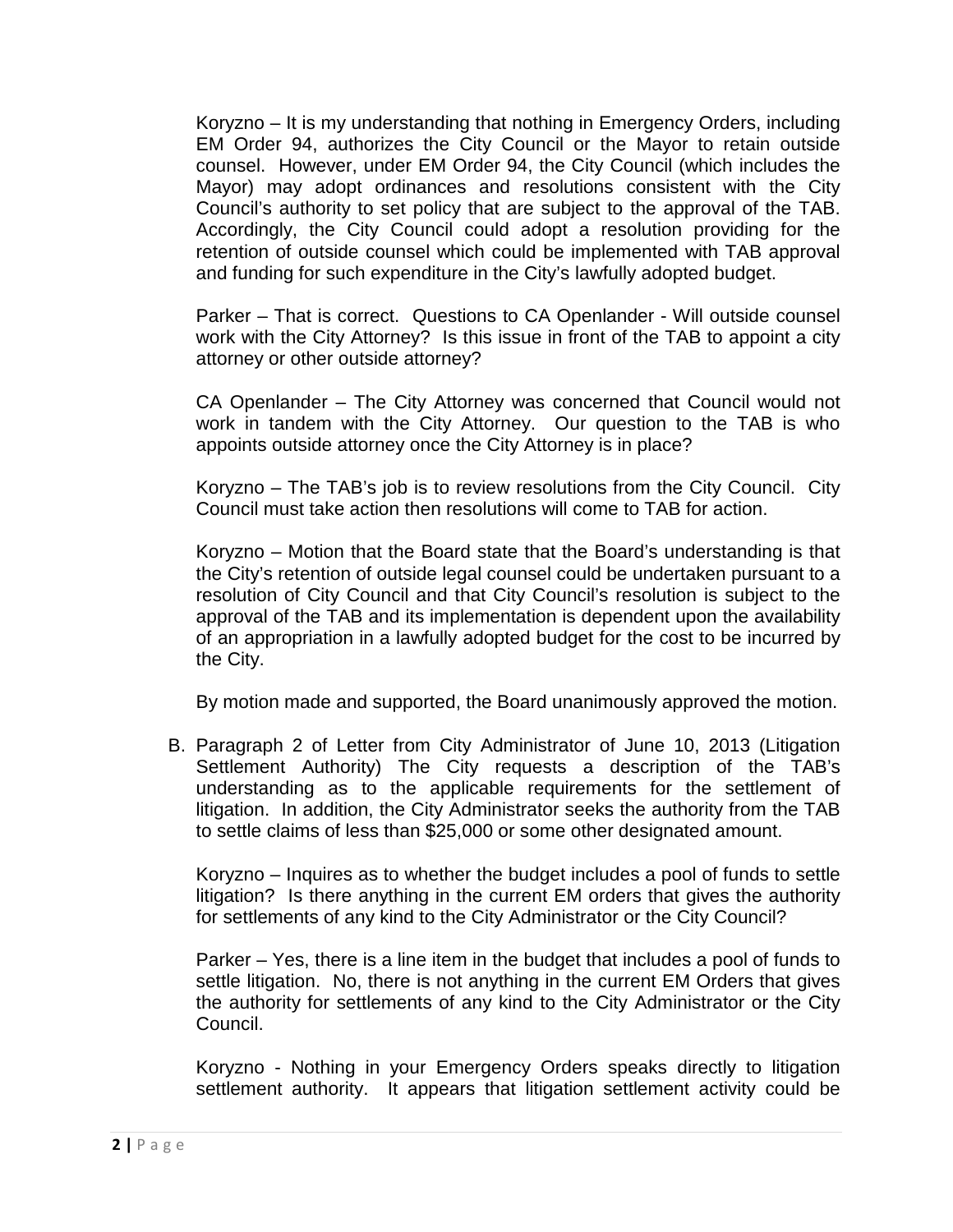Koryzno – It is my understanding that nothing in Emergency Orders, including EM Order 94, authorizes the City Council or the Mayor to retain outside counsel. However, under EM Order 94, the City Council (which includes the Mayor) may adopt ordinances and resolutions consistent with the City Council's authority to set policy that are subject to the approval of the TAB. Accordingly, the City Council could adopt a resolution providing for the retention of outside counsel which could be implemented with TAB approval and funding for such expenditure in the City's lawfully adopted budget.

Parker – That is correct. Questions to CA Openlander - Will outside counsel work with the City Attorney? Is this issue in front of the TAB to appoint a city attorney or other outside attorney?

CA Openlander – The City Attorney was concerned that Council would not work in tandem with the City Attorney. Our question to the TAB is who appoints outside attorney once the City Attorney is in place?

Koryzno – The TAB's job is to review resolutions from the City Council. City Council must take action then resolutions will come to TAB for action.

Koryzno – Motion that the Board state that the Board's understanding is that the City's retention of outside legal counsel could be undertaken pursuant to a resolution of City Council and that City Council's resolution is subject to the approval of the TAB and its implementation is dependent upon the availability of an appropriation in a lawfully adopted budget for the cost to be incurred by the City.

By motion made and supported, the Board unanimously approved the motion.

B. Paragraph 2 of Letter from City Administrator of June 10, 2013 (Litigation Settlement Authority) The City requests a description of the TAB's understanding as to the applicable requirements for the settlement of litigation. In addition, the City Administrator seeks the authority from the TAB to settle claims of less than \$25,000 or some other designated amount.

Koryzno – Inquires as to whether the budget includes a pool of funds to settle litigation? Is there anything in the current EM orders that gives the authority for settlements of any kind to the City Administrator or the City Council?

Parker – Yes, there is a line item in the budget that includes a pool of funds to settle litigation. No, there is not anything in the current EM Orders that gives the authority for settlements of any kind to the City Administrator or the City Council.

Koryzno - Nothing in your Emergency Orders speaks directly to litigation settlement authority. It appears that litigation settlement activity could be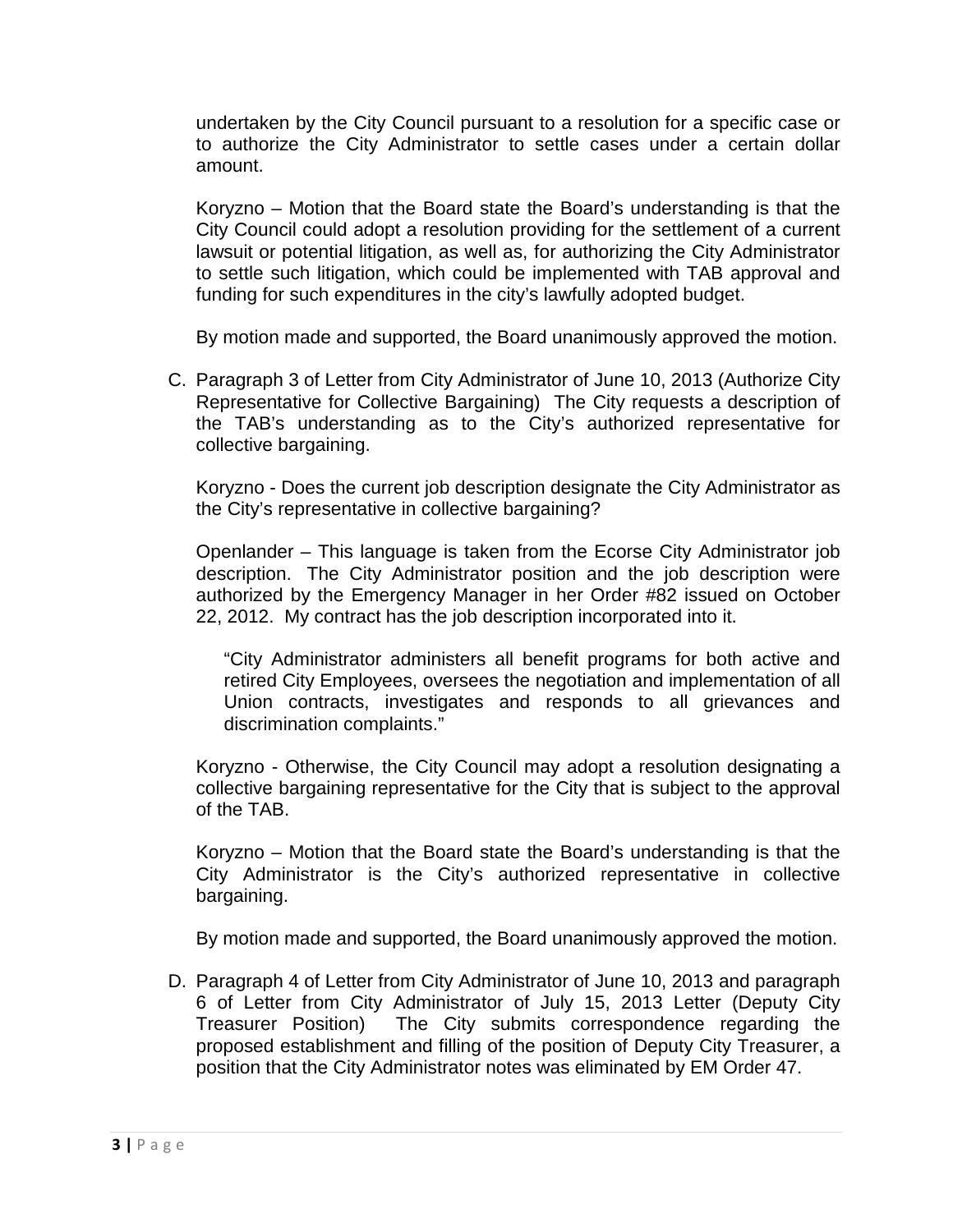undertaken by the City Council pursuant to a resolution for a specific case or to authorize the City Administrator to settle cases under a certain dollar amount.

Koryzno – Motion that the Board state the Board's understanding is that the City Council could adopt a resolution providing for the settlement of a current lawsuit or potential litigation, as well as, for authorizing the City Administrator to settle such litigation, which could be implemented with TAB approval and funding for such expenditures in the city's lawfully adopted budget.

By motion made and supported, the Board unanimously approved the motion.

C. Paragraph 3 of Letter from City Administrator of June 10, 2013 (Authorize City Representative for Collective Bargaining) The City requests a description of the TAB's understanding as to the City's authorized representative for collective bargaining.

Koryzno - Does the current job description designate the City Administrator as the City's representative in collective bargaining?

Openlander – This language is taken from the Ecorse City Administrator job description. The City Administrator position and the job description were authorized by the Emergency Manager in her Order #82 issued on October 22, 2012. My contract has the job description incorporated into it.

"City Administrator administers all benefit programs for both active and retired City Employees, oversees the negotiation and implementation of all Union contracts, investigates and responds to all grievances and discrimination complaints."

Koryzno - Otherwise, the City Council may adopt a resolution designating a collective bargaining representative for the City that is subject to the approval of the TAB.

Koryzno – Motion that the Board state the Board's understanding is that the City Administrator is the City's authorized representative in collective bargaining.

By motion made and supported, the Board unanimously approved the motion.

D. Paragraph 4 of Letter from City Administrator of June 10, 2013 and paragraph 6 of Letter from City Administrator of July 15, 2013 Letter (Deputy City Treasurer Position) The City submits correspondence regarding the proposed establishment and filling of the position of Deputy City Treasurer, a position that the City Administrator notes was eliminated by EM Order 47.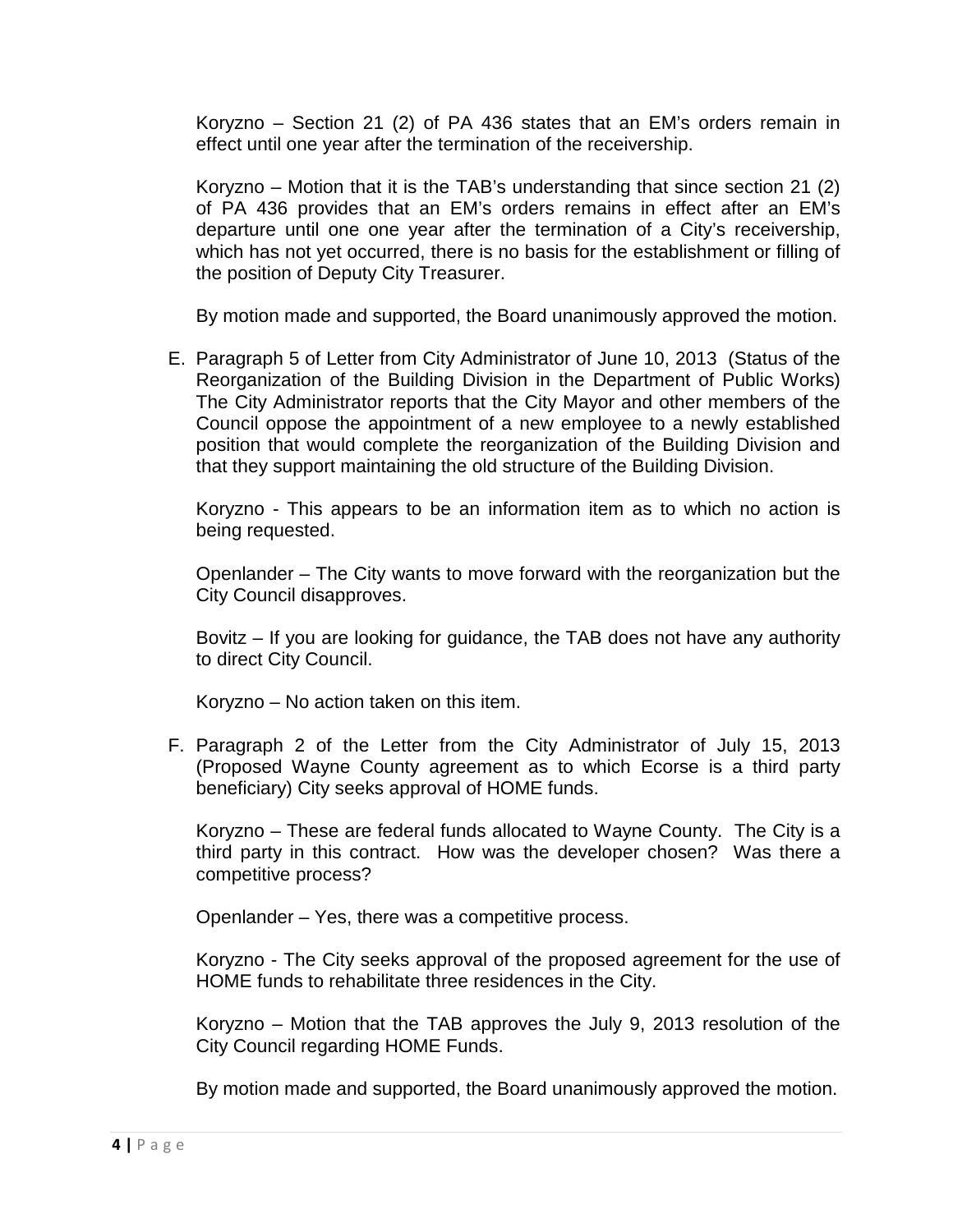Koryzno – Section 21 (2) of PA 436 states that an EM's orders remain in effect until one year after the termination of the receivership.

Koryzno – Motion that it is the TAB's understanding that since section 21 (2) of PA 436 provides that an EM's orders remains in effect after an EM's departure until one one year after the termination of a City's receivership, which has not yet occurred, there is no basis for the establishment or filling of the position of Deputy City Treasurer.

By motion made and supported, the Board unanimously approved the motion.

E. Paragraph 5 of Letter from City Administrator of June 10, 2013 (Status of the Reorganization of the Building Division in the Department of Public Works) The City Administrator reports that the City Mayor and other members of the Council oppose the appointment of a new employee to a newly established position that would complete the reorganization of the Building Division and that they support maintaining the old structure of the Building Division.

Koryzno - This appears to be an information item as to which no action is being requested.

Openlander – The City wants to move forward with the reorganization but the City Council disapproves.

Bovitz – If you are looking for guidance, the TAB does not have any authority to direct City Council.

Koryzno – No action taken on this item.

F. Paragraph 2 of the Letter from the City Administrator of July 15, 2013 (Proposed Wayne County agreement as to which Ecorse is a third party beneficiary) City seeks approval of HOME funds.

Koryzno – These are federal funds allocated to Wayne County. The City is a third party in this contract. How was the developer chosen? Was there a competitive process?

Openlander – Yes, there was a competitive process.

Koryzno - The City seeks approval of the proposed agreement for the use of HOME funds to rehabilitate three residences in the City.

Koryzno – Motion that the TAB approves the July 9, 2013 resolution of the City Council regarding HOME Funds.

By motion made and supported, the Board unanimously approved the motion.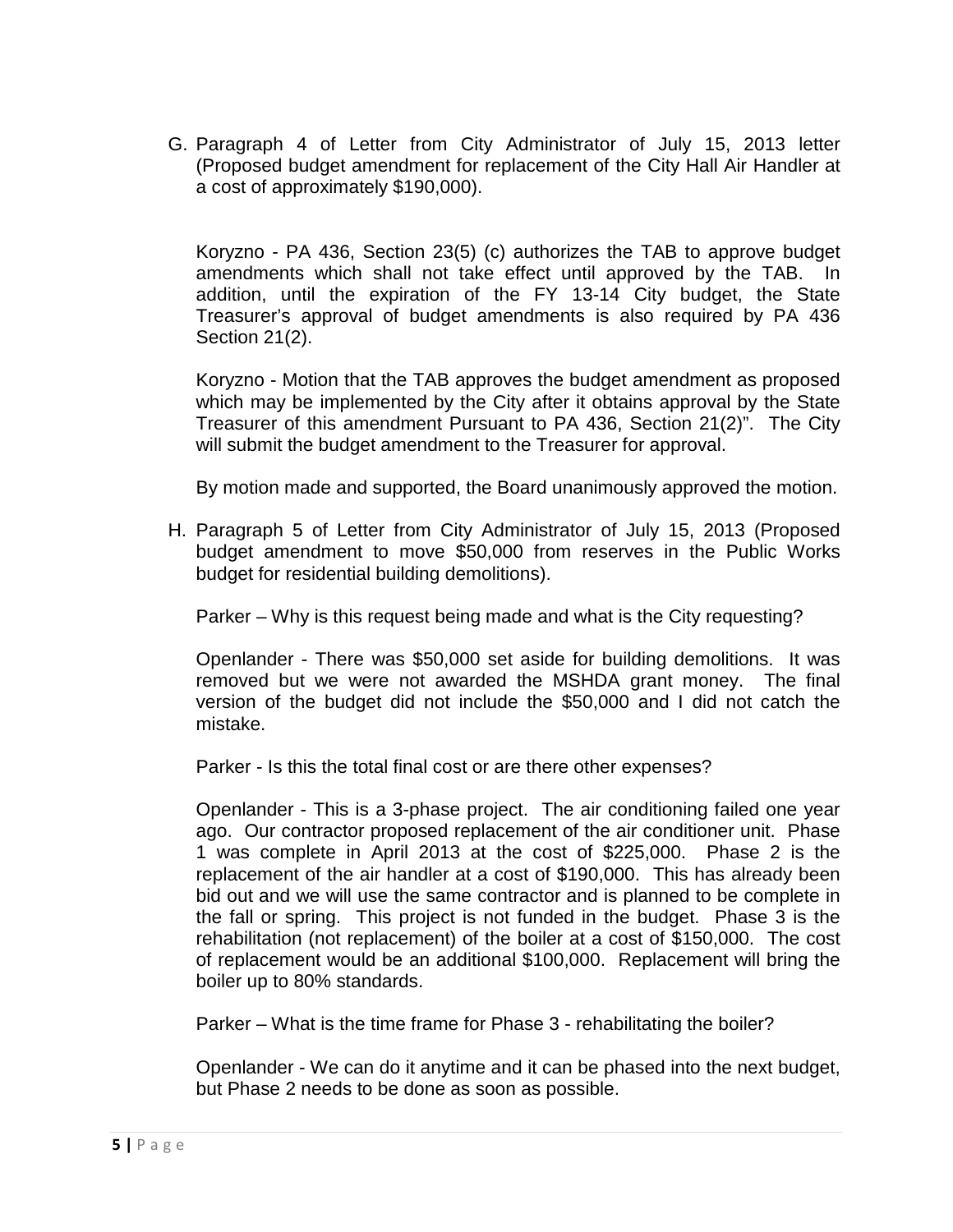G. Paragraph 4 of Letter from City Administrator of July 15, 2013 letter (Proposed budget amendment for replacement of the City Hall Air Handler at a cost of approximately \$190,000).

Koryzno - PA 436, Section 23(5) (c) authorizes the TAB to approve budget amendments which shall not take effect until approved by the TAB. In addition, until the expiration of the FY 13-14 City budget, the State Treasurer's approval of budget amendments is also required by PA 436 Section 21(2).

Koryzno - Motion that the TAB approves the budget amendment as proposed which may be implemented by the City after it obtains approval by the State Treasurer of this amendment Pursuant to PA 436, Section 21(2)". The City will submit the budget amendment to the Treasurer for approval.

By motion made and supported, the Board unanimously approved the motion.

H. Paragraph 5 of Letter from City Administrator of July 15, 2013 (Proposed budget amendment to move \$50,000 from reserves in the Public Works budget for residential building demolitions).

Parker – Why is this request being made and what is the City requesting?

 Openlander - There was \$50,000 set aside for building demolitions. It was removed but we were not awarded the MSHDA grant money. The final version of the budget did not include the \$50,000 and I did not catch the mistake.

Parker - Is this the total final cost or are there other expenses?

Openlander - This is a 3-phase project. The air conditioning failed one year ago. Our contractor proposed replacement of the air conditioner unit. Phase 1 was complete in April 2013 at the cost of \$225,000. Phase 2 is the replacement of the air handler at a cost of \$190,000. This has already been bid out and we will use the same contractor and is planned to be complete in the fall or spring. This project is not funded in the budget. Phase 3 is the rehabilitation (not replacement) of the boiler at a cost of \$150,000. The cost of replacement would be an additional \$100,000. Replacement will bring the boiler up to 80% standards.

Parker – What is the time frame for Phase 3 - rehabilitating the boiler?

Openlander - We can do it anytime and it can be phased into the next budget, but Phase 2 needs to be done as soon as possible.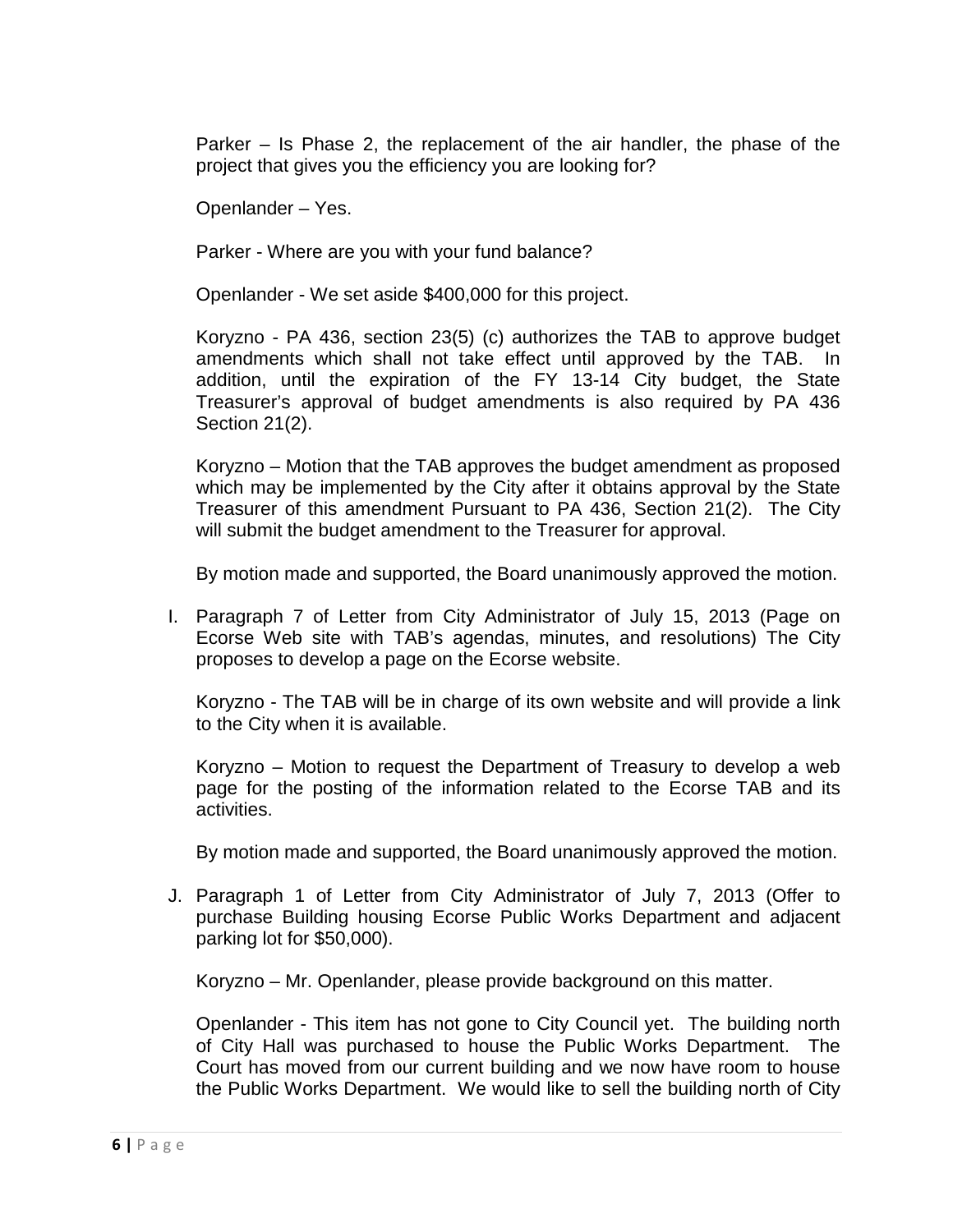Parker – Is Phase 2, the replacement of the air handler, the phase of the project that gives you the efficiency you are looking for?

Openlander – Yes.

Parker - Where are you with your fund balance?

Openlander - We set aside \$400,000 for this project.

Koryzno - PA 436, section 23(5) (c) authorizes the TAB to approve budget amendments which shall not take effect until approved by the TAB. In addition, until the expiration of the FY 13-14 City budget, the State Treasurer's approval of budget amendments is also required by PA 436 Section 21(2).

Koryzno – Motion that the TAB approves the budget amendment as proposed which may be implemented by the City after it obtains approval by the State Treasurer of this amendment Pursuant to PA 436, Section 21(2). The City will submit the budget amendment to the Treasurer for approval.

By motion made and supported, the Board unanimously approved the motion.

I. Paragraph 7 of Letter from City Administrator of July 15, 2013 (Page on Ecorse Web site with TAB's agendas, minutes, and resolutions) The City proposes to develop a page on the Ecorse website.

Koryzno - The TAB will be in charge of its own website and will provide a link to the City when it is available.

Koryzno – Motion to request the Department of Treasury to develop a web page for the posting of the information related to the Ecorse TAB and its activities.

By motion made and supported, the Board unanimously approved the motion.

J. Paragraph 1 of Letter from City Administrator of July 7, 2013 (Offer to purchase Building housing Ecorse Public Works Department and adjacent parking lot for \$50,000).

Koryzno – Mr. Openlander, please provide background on this matter.

Openlander - This item has not gone to City Council yet. The building north of City Hall was purchased to house the Public Works Department. The Court has moved from our current building and we now have room to house the Public Works Department. We would like to sell the building north of City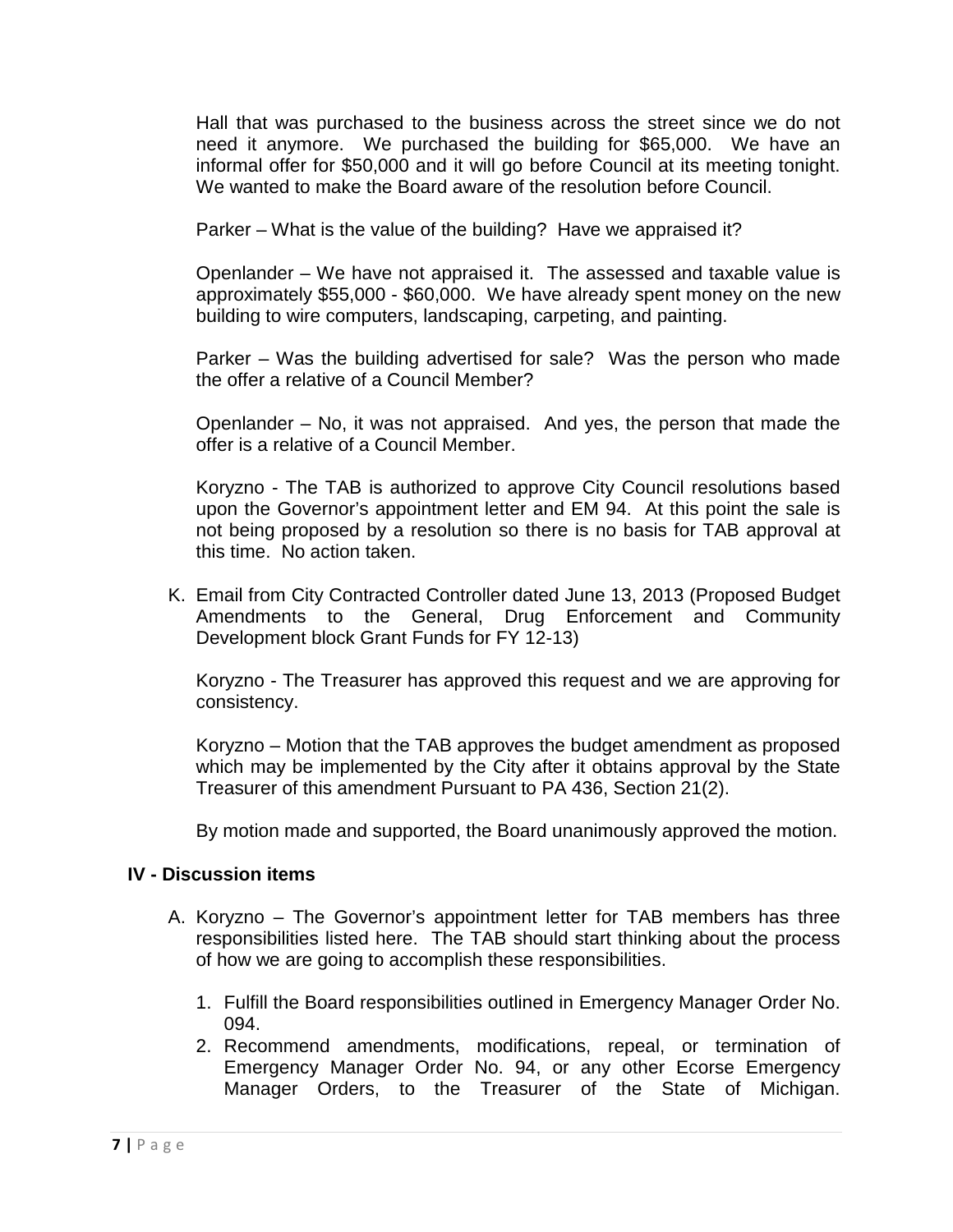Hall that was purchased to the business across the street since we do not need it anymore. We purchased the building for \$65,000. We have an informal offer for \$50,000 and it will go before Council at its meeting tonight. We wanted to make the Board aware of the resolution before Council.

Parker – What is the value of the building? Have we appraised it?

Openlander – We have not appraised it. The assessed and taxable value is approximately \$55,000 - \$60,000. We have already spent money on the new building to wire computers, landscaping, carpeting, and painting.

Parker – Was the building advertised for sale? Was the person who made the offer a relative of a Council Member?

Openlander – No, it was not appraised. And yes, the person that made the offer is a relative of a Council Member.

Koryzno - The TAB is authorized to approve City Council resolutions based upon the Governor's appointment letter and EM 94. At this point the sale is not being proposed by a resolution so there is no basis for TAB approval at this time. No action taken.

K. Email from City Contracted Controller dated June 13, 2013 (Proposed Budget Amendments to the General, Drug Enforcement and Community Development block Grant Funds for FY 12-13)

Koryzno - The Treasurer has approved this request and we are approving for consistency.

Koryzno – Motion that the TAB approves the budget amendment as proposed which may be implemented by the City after it obtains approval by the State Treasurer of this amendment Pursuant to PA 436, Section 21(2).

By motion made and supported, the Board unanimously approved the motion.

#### **IV - Discussion items**

- A. Koryzno The Governor's appointment letter for TAB members has three responsibilities listed here. The TAB should start thinking about the process of how we are going to accomplish these responsibilities.
	- 1. Fulfill the Board responsibilities outlined in Emergency Manager Order No. 094.
	- 2. Recommend amendments, modifications, repeal, or termination of Emergency Manager Order No. 94, or any other Ecorse Emergency Manager Orders, to the Treasurer of the State of Michigan.